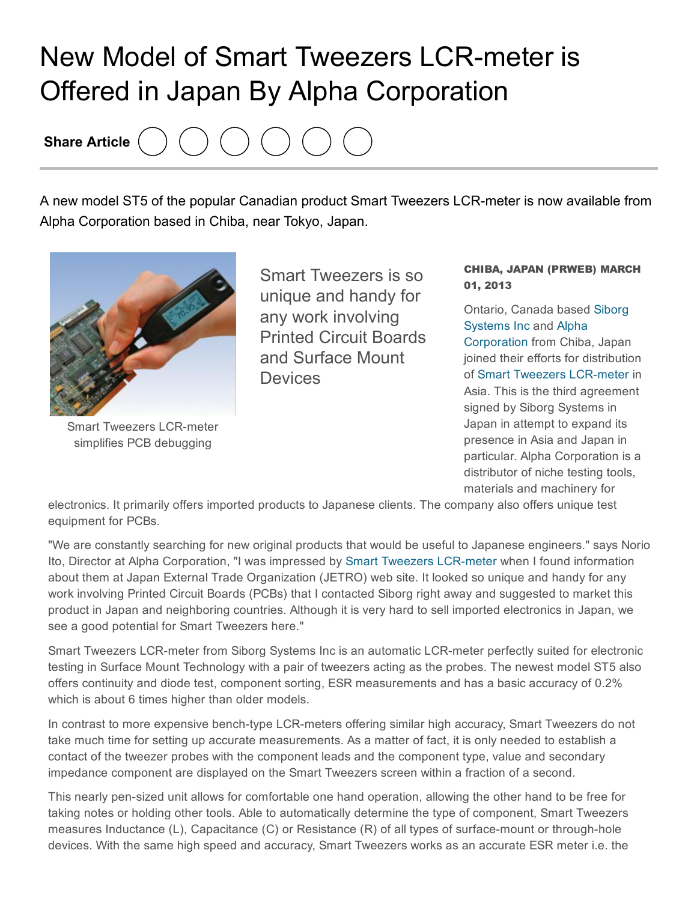## New Model of Smart Tweezers LCR-meter is Offered in Japan By Alpha Corporation

Share Article

A new model ST5 of the popular Canadian product Smart Tweezers LCR-meter is now available from Alpha Corporation based in Chiba, near Tokyo, Japan.



**Smart Tweezers LCR-meter** simplifies PCB debugging

Smart Tweezers is so unique and handy for any work involving Printed Circuit Boards and Surface Mount **Devices** 

## CHIBA, JAPAN (PRWEB) MARCH 01, 2013

Ontario, Canada based Siborg [Systems](http://www.prweb.net/Redirect.aspx?id=aHR0cDovL3d3dy5zaWJvcmcuY29tL3NtYXJ0dHdlZXplcnM=) Inc and Alpha [Corporation](http://www.prweb.net/Redirect.aspx?id=aHR0cDovL3d3dy5hbHBoYWNvcnAuZWN3ZWIuanAv) from Chiba, Japan joined their efforts for distribution of Smart Tweezers LCR-meter in Asia. This is the third agreement signed by Siborg Systems in Japan in attempt to expand its presence in Asia and Japan in particular. Alpha Corporation is a distributor of niche testing tools, materials and machinery for

electronics. It primarily offers imported products to Japanese clients. The company also offers unique test equipment for PCBs.

"We are constantly searching for new original products that would be useful to Japanese engineers." says Norio Ito, Director at Alpha Corporation, "I was impressed by Smart Tweezers LCR-meter when I found information about them at Japan External Trade Organization (JETRO) web site. It looked so unique and handy for any work involving Printed Circuit Boards (PCBs) that I contacted Siborg right away and suggested to market this product in Japan and neighboring countries. Although it is very hard to sell imported electronics in Japan, we see a good potential for Smart Tweezers here."

Smart Tweezers LCR-meter from Siborg Systems Inc is an automatic LCR-meter perfectly suited for electronic testing in Surface Mount Technology with a pair of tweezers acting as the probes. The newest model ST5 also offers continuity and diode test, component sorting, ESR measurements and has a basic accuracy of 0.2% which is about 6 times higher than older models.

In contrast to more expensive bench-type LCR-meters offering similar high accuracy, Smart Tweezers do not take much time for setting up accurate measurements. As a matter of fact, it is only needed to establish a contact of the tweezer probes with the component leads and the component type, value and secondary impedance component are displayed on the Smart Tweezers screen within a fraction of a second.

This nearly pen-sized unit allows for comfortable one hand operation, allowing the other hand to be free for taking notes or holding other tools. Able to automatically determine the type of component, Smart Tweezers measures Inductance  $(L)$ , Capacitance  $(C)$  or Resistance  $(R)$  of all types of surface-mount or through-hole devices. With the same high speed and accuracy, Smart Tweezers works as an accurate ESR meter i.e. the